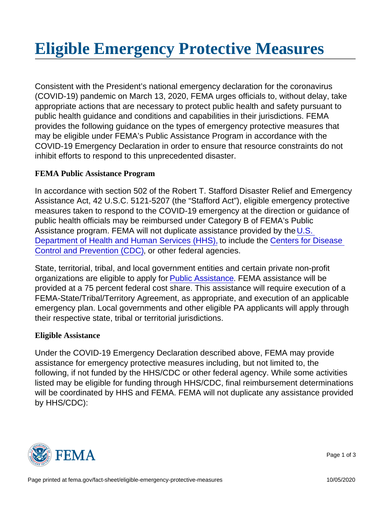Consistent with the President's national emergency declaration for the coronavirus (COVID-19) pandemic on March 13, 2020, FEMA urges officials to, without delay, take appropriate actions that are necessary to protect public health and safety pursuant to public health guidance and conditions and capabilities in their jurisdictions. FEMA provides the following guidance on the types of emergency protective measures that may be eligible under FEMA's Public Assistance Program in accordance with the COVID-19 Emergency Declaration in order to ensure that resource constraints do not inhibit efforts to respond to this unprecedented disaster.

## **FEMA Public Assistance Program**

In accordance with section 502 of the Robert T. Stafford Disaster Relief and Emergency Assistance Act, 42 U.S.C. 5121-5207 (the "Stafford Act"), eligible emergency protective measures taken to respond to the COVID-19 emergency at the direction or guidance of public health officials may be reimbursed under Category B of FEMA's Public Assistance program. FEMA will not duplicate assistance provided by the U.S. Department of Health and Human Services (HHS), to include the Centers for Disease Control and Prevention (CDC), or other federal agencies.

State, territorial, tribal, and local government entities and certain private non-profit organizations are eligible to apply for Public Assistance. FEMA assistance will be provided at a 75 percent federal cost share. This assistance will require execution of a FEMA-State/Tribal/Territory Agreement, as appropriate, and execution of an applicable emergency plan. Local governments and other eligible PA applicants will apply through their respective state, tribal or territorial jurisdictions.

## **Eligible Assistance**

Under the COVID-19 Emergency Declaration described above, FEMA may provide assistance for emergency protective measures including, but not limited to, the following, if not funded by the HHS/CDC or other federal agency. While some activities listed may be eligible for funding through HHS/CDC, final reimbursement determinations will be coordinated by HHS and FEMA. FEMA will not duplicate any assistance provided by HHS/CDC):



Page 1 of 3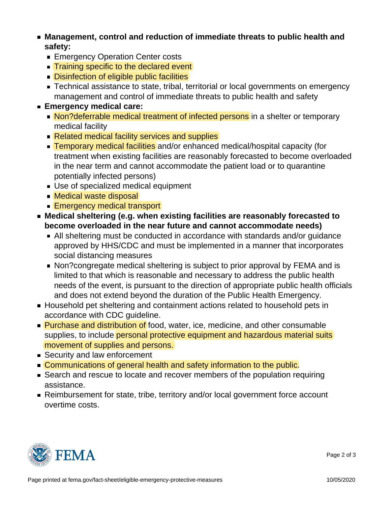- **Management, control and reduction of immediate threats to public health and safety:**
	- **Emergency Operation Center costs**
	- **Training specific to the declared event**
	- **Disinfection of eligible public facilities**
	- **Technical assistance to state, tribal, territorial or local governments on emergency** management and control of immediate threats to public health and safety
- **Emergency medical care:**
	- Non?deferrable medical treatment of infected persons in a shelter or temporary medical facility
	- Related medical facility services and supplies
	- **Temporary medical facilities** and/or enhanced medical/hospital capacity (for treatment when existing facilities are reasonably forecasted to become overloaded in the near term and cannot accommodate the patient load or to quarantine potentially infected persons)
	- Use of specialized medical equipment
	- Medical waste disposal
	- **Emergency medical transport**
- **Medical sheltering (e.g. when existing facilities are reasonably forecasted to become overloaded in the near future and cannot accommodate needs)**
	- All sheltering must be conducted in accordance with standards and/or guidance approved by HHS/CDC and must be implemented in a manner that incorporates social distancing measures
	- Non?congregate medical sheltering is subject to prior approval by FEMA and is limited to that which is reasonable and necessary to address the public health needs of the event, is pursuant to the direction of appropriate public health officials and does not extend beyond the duration of the Public Health Emergency.
- Household pet sheltering and containment actions related to household pets in accordance with CDC guideline.
- **Purchase and distribution of food, water, ice, medicine, and other consumable** supplies, to include personal protective equipment and hazardous material suits movement of supplies and persons.
- **Security and law enforcement**
- **Communications of general health and safety information to the public.**
- Search and rescue to locate and recover members of the population requiring assistance.
- Reimbursement for state, tribe, territory and/or local government force account overtime costs.



Page 2 of 3